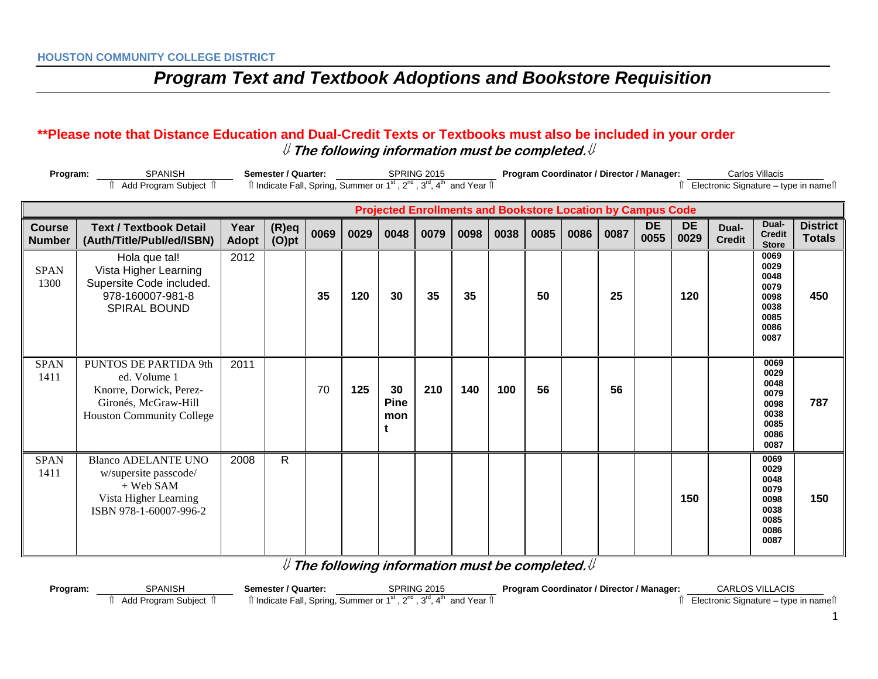#### **\*\*Please note that Distance Education and Dual-Credit Texts or Textbooks must also be included in your order** ⇓ **The following information must be completed.**⇓

|                                | Program:<br><b>Semester / Quarter:</b><br><b>SPANISH</b><br>Add Program Subject 1                                     |                      |                      |      |      | Program Coordinator / Director / Manager:<br>SPRING 2015<br>Îl Indicate Fall, Spring, Summer or 1 <sup>st</sup> , 2 <sup>nd</sup> , 3 <sup>rd</sup> , 4 <sup>th</sup> and Year Îl |      |      |      |      |                                                                    |      | Carlos Villacis<br>Electronic Signature – type in nameî î |                   |                        |                                                                      |                                  |
|--------------------------------|-----------------------------------------------------------------------------------------------------------------------|----------------------|----------------------|------|------|-----------------------------------------------------------------------------------------------------------------------------------------------------------------------------------|------|------|------|------|--------------------------------------------------------------------|------|-----------------------------------------------------------|-------------------|------------------------|----------------------------------------------------------------------|----------------------------------|
|                                |                                                                                                                       |                      |                      |      |      |                                                                                                                                                                                   |      |      |      |      | <b>Projected Enrollments and Bookstore Location by Campus Code</b> |      |                                                           |                   |                        |                                                                      |                                  |
| <b>Course</b><br><b>Number</b> | <b>Text / Textbook Detail</b><br>(Auth/Title/Publ/ed/ISBN)                                                            | Year<br><b>Adopt</b> | $(R)$ eq<br>$(O)$ pt | 0069 | 0029 | 0048                                                                                                                                                                              | 0079 | 0098 | 0038 | 0085 | 0086                                                               | 0087 | <b>DE</b><br>0055                                         | <b>DE</b><br>0029 | Dual-<br><b>Credit</b> | Dual-<br><b>Credit</b><br><b>Store</b>                               | <b>District</b><br><b>Totals</b> |
| <b>SPAN</b><br>1300            | Hola que tal!<br>Vista Higher Learning<br>Supersite Code included.<br>978-160007-981-8<br>SPIRAL BOUND                | 2012                 |                      | 35   | 120  | 30                                                                                                                                                                                | 35   | 35   |      | 50   |                                                                    | 25   |                                                           | 120               |                        | 0069<br>0029<br>0048<br>0079<br>0098<br>0038<br>0085<br>0086<br>0087 | 450                              |
| <b>SPAN</b><br>1411            | PUNTOS DE PARTIDA 9th<br>ed. Volume 1<br>Knorre, Dorwick, Perez-<br>Gironés, McGraw-Hill<br>Houston Community College | 2011                 |                      | 70   | 125  | 30<br><b>Pine</b><br>mon                                                                                                                                                          | 210  | 140  | 100  | 56   |                                                                    | 56   |                                                           |                   |                        | 0069<br>0029<br>0048<br>0079<br>0098<br>0038<br>0085<br>0086<br>0087 | 787                              |
| <b>SPAN</b><br>1411            | <b>Blanco ADELANTE UNO</b><br>w/supersite passcode/<br>+ Web SAM<br>Vista Higher Learning<br>ISBN 978-1-60007-996-2   | 2008                 | $\mathsf{R}$         |      |      |                                                                                                                                                                                   |      |      |      |      |                                                                    |      |                                                           | 150               |                        | 0069<br>0029<br>0048<br>0079<br>0098<br>0038<br>0085<br>0086<br>0087 | 150                              |

⇓ **The following information must be completed.**⇓

| Program: | <b>SPANISH</b>         | Semester / Quarter:           | <b>SPRING 2015</b>                                                           | <b>Program Coordinator / Director / Manager:</b> | <b>CARLOS VILLACIS</b>                |
|----------|------------------------|-------------------------------|------------------------------------------------------------------------------|--------------------------------------------------|---------------------------------------|
|          | Subiect<br>Add Program | <sup>1</sup> Indicate Fall, J | എnd<br>ົ່າ <sup>rd</sup> ∧<br>ີ and Year  í।<br>, Spring, Summer or 1st<br>. |                                                  | Electronic Signature – type in namell |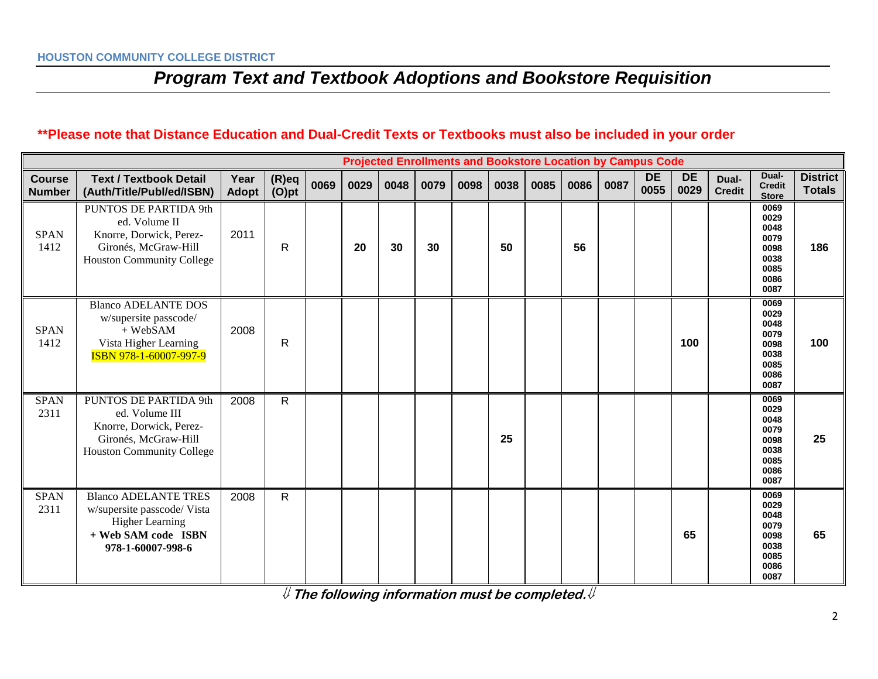### **\*\*Please note that Distance Education and Dual-Credit Texts or Textbooks must also be included in your order**

|                                | <b>Projected Enrollments and Bookstore Location by Campus Code</b>                                                               |                      |                      |      |      |      |      |      |      |      |      |      |                   |                   |                        |                                                                      |                                  |
|--------------------------------|----------------------------------------------------------------------------------------------------------------------------------|----------------------|----------------------|------|------|------|------|------|------|------|------|------|-------------------|-------------------|------------------------|----------------------------------------------------------------------|----------------------------------|
| <b>Course</b><br><b>Number</b> | <b>Text / Textbook Detail</b><br>(Auth/Title/Publ/ed/ISBN)                                                                       | Year<br><b>Adopt</b> | $(R)$ eq<br>$(O)$ pt | 0069 | 0029 | 0048 | 0079 | 0098 | 0038 | 0085 | 0086 | 0087 | <b>DE</b><br>0055 | <b>DE</b><br>0029 | Dual-<br><b>Credit</b> | Dual-<br><b>Credit</b><br><b>Store</b>                               | <b>District</b><br><b>Totals</b> |
| <b>SPAN</b><br>1412            | PUNTOS DE PARTIDA 9th<br>ed. Volume II<br>Knorre, Dorwick, Perez-<br>Gironés, McGraw-Hill<br>Houston Community College           | 2011                 | $\mathsf{R}$         |      | 20   | 30   | 30   |      | 50   |      | 56   |      |                   |                   |                        | 0069<br>0029<br>0048<br>0079<br>0098<br>0038<br>0085<br>0086<br>0087 | 186                              |
| <b>SPAN</b><br>1412            | <b>Blanco ADELANTE DOS</b><br>w/supersite passcode/<br>+ WebSAM<br>Vista Higher Learning<br>ISBN 978-1-60007-997-9               | 2008                 | $\mathsf{R}$         |      |      |      |      |      |      |      |      |      |                   | 100               |                        | 0069<br>0029<br>0048<br>0079<br>0098<br>0038<br>0085<br>0086<br>0087 | 100                              |
| <b>SPAN</b><br>2311            | PUNTOS DE PARTIDA 9th<br>ed. Volume III<br>Knorre, Dorwick, Perez-<br>Gironés, McGraw-Hill<br><b>Houston Community College</b>   | 2008                 | $\mathsf{R}$         |      |      |      |      |      | 25   |      |      |      |                   |                   |                        | 0069<br>0029<br>0048<br>0079<br>0098<br>0038<br>0085<br>0086<br>0087 | 25                               |
| <b>SPAN</b><br>2311            | <b>Blanco ADELANTE TRES</b><br>w/supersite passcode/ Vista<br><b>Higher Learning</b><br>+ Web SAM code ISBN<br>978-1-60007-998-6 | 2008                 | $\mathsf{R}$         |      |      |      |      |      |      |      |      |      |                   | 65                |                        | 0069<br>0029<br>0048<br>0079<br>0098<br>0038<br>0085<br>0086<br>0087 | 65                               |

⇓ **The following information must be completed.**⇓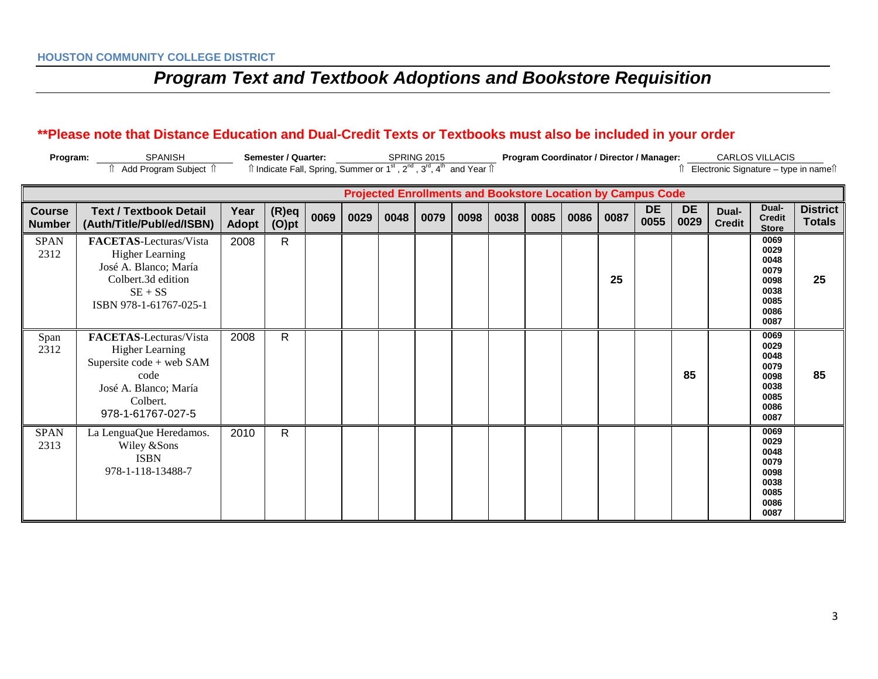### **\*\*Please note that Distance Education and Dual-Credit Texts or Textbooks must also be included in your order**

| Program: | <b>SPANISH</b>      | Semester / Quarter: | <b>SPRING 2015</b>                                                                                                                     | <b>Program Coordinator / Director / Manager:</b> | <b>CARLOS VILLACIS</b>                |
|----------|---------------------|---------------------|----------------------------------------------------------------------------------------------------------------------------------------|--------------------------------------------------|---------------------------------------|
|          | Add Program Subject |                     | $\hat{\parallel}$ Indicate Fall, Spring, Summer or 1st, 2 <sup>nd</sup> , 3 <sup>rd</sup> , 4 <sup>th</sup> and Year $\hat{\parallel}$ |                                                  | Electronic Signature – type in namell |

|                                | <b>Projected Enrollments and Bookstore Location by Campus Code</b>                                                                             |                      |                      |      |      |      |      |      |      |      |      |      |                   |                   |                        |                                                                      |                                  |
|--------------------------------|------------------------------------------------------------------------------------------------------------------------------------------------|----------------------|----------------------|------|------|------|------|------|------|------|------|------|-------------------|-------------------|------------------------|----------------------------------------------------------------------|----------------------------------|
| <b>Course</b><br><b>Number</b> | <b>Text / Textbook Detail</b><br>(Auth/Title/Publ/ed/ISBN)                                                                                     | Year<br><b>Adopt</b> | $(R)$ eq<br>$(O)$ pt | 0069 | 0029 | 0048 | 0079 | 0098 | 0038 | 0085 | 0086 | 0087 | <b>DE</b><br>0055 | <b>DE</b><br>0029 | Dual-<br><b>Credit</b> | Dual-<br><b>Credit</b><br><b>Store</b>                               | <b>District</b><br><b>Totals</b> |
| <b>SPAN</b><br>2312            | FACETAS-Lecturas/Vista<br><b>Higher Learning</b><br>José A. Blanco; María<br>Colbert.3d edition<br>$SE + SS$<br>ISBN 978-1-61767-025-1         | 2008                 | $\mathsf{R}$         |      |      |      |      |      |      |      |      | 25   |                   |                   |                        | 0069<br>0029<br>0048<br>0079<br>0098<br>0038<br>0085<br>0086<br>0087 | 25                               |
| Span<br>2312                   | FACETAS-Lecturas/Vista<br><b>Higher Learning</b><br>Supersite code + web SAM<br>code<br>José A. Blanco; María<br>Colbert.<br>978-1-61767-027-5 | 2008                 | $\mathsf{R}$         |      |      |      |      |      |      |      |      |      |                   | 85                |                        | 0069<br>0029<br>0048<br>0079<br>0098<br>0038<br>0085<br>0086<br>0087 | 85                               |
| <b>SPAN</b><br>2313            | La LenguaQue Heredamos.<br>Wiley &Sons<br><b>ISBN</b><br>978-1-118-13488-7                                                                     | 2010                 | $\mathsf{R}$         |      |      |      |      |      |      |      |      |      |                   |                   |                        | 0069<br>0029<br>0048<br>0079<br>0098<br>0038<br>0085<br>0086<br>0087 |                                  |